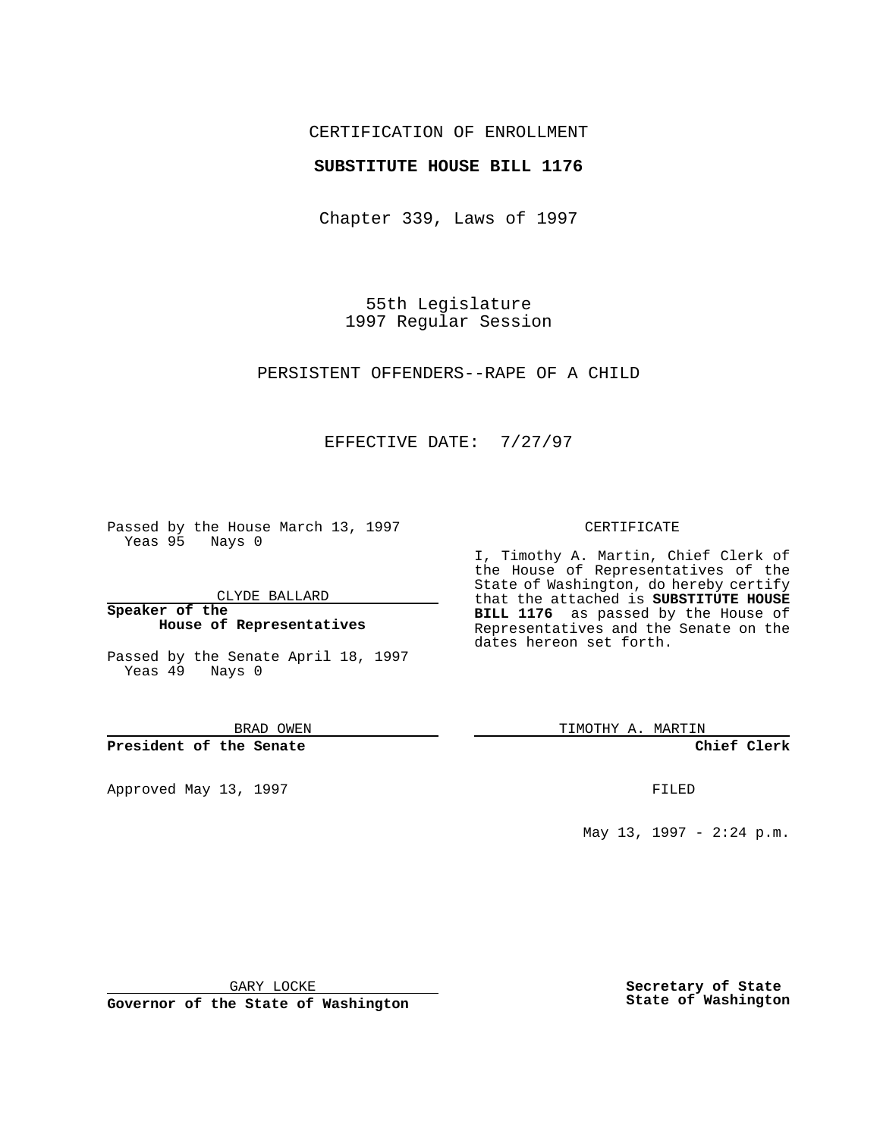## CERTIFICATION OF ENROLLMENT

## **SUBSTITUTE HOUSE BILL 1176**

Chapter 339, Laws of 1997

55th Legislature 1997 Regular Session

PERSISTENT OFFENDERS--RAPE OF A CHILD

## EFFECTIVE DATE: 7/27/97

Passed by the House March 13, 1997 Yeas 95 Nays 0

CLYDE BALLARD

**Speaker of the House of Representatives**

Passed by the Senate April 18, 1997 Yeas 49 Nays 0

BRAD OWEN

**President of the Senate**

Approved May 13, 1997 **FILED** 

#### CERTIFICATE

I, Timothy A. Martin, Chief Clerk of the House of Representatives of the State of Washington, do hereby certify that the attached is **SUBSTITUTE HOUSE BILL 1176** as passed by the House of Representatives and the Senate on the dates hereon set forth.

TIMOTHY A. MARTIN

**Chief Clerk**

May 13, 1997 - 2:24 p.m.

GARY LOCKE

**Governor of the State of Washington**

**Secretary of State State of Washington**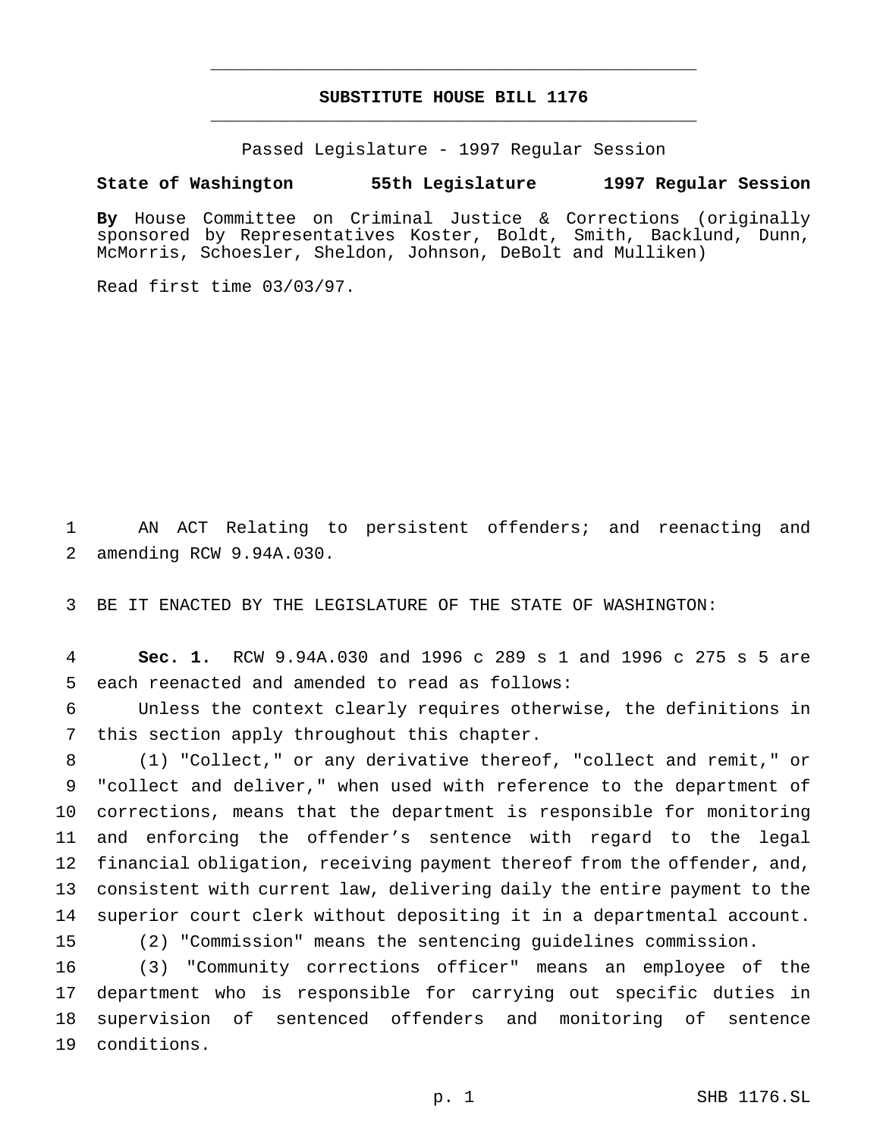# **SUBSTITUTE HOUSE BILL 1176** \_\_\_\_\_\_\_\_\_\_\_\_\_\_\_\_\_\_\_\_\_\_\_\_\_\_\_\_\_\_\_\_\_\_\_\_\_\_\_\_\_\_\_\_\_\_\_

\_\_\_\_\_\_\_\_\_\_\_\_\_\_\_\_\_\_\_\_\_\_\_\_\_\_\_\_\_\_\_\_\_\_\_\_\_\_\_\_\_\_\_\_\_\_\_

Passed Legislature - 1997 Regular Session

### **State of Washington 55th Legislature 1997 Regular Session**

**By** House Committee on Criminal Justice & Corrections (originally sponsored by Representatives Koster, Boldt, Smith, Backlund, Dunn, McMorris, Schoesler, Sheldon, Johnson, DeBolt and Mulliken)

Read first time 03/03/97.

 AN ACT Relating to persistent offenders; and reenacting and amending RCW 9.94A.030.

BE IT ENACTED BY THE LEGISLATURE OF THE STATE OF WASHINGTON:

 **Sec. 1.** RCW 9.94A.030 and 1996 c 289 s 1 and 1996 c 275 s 5 are each reenacted and amended to read as follows:

 Unless the context clearly requires otherwise, the definitions in this section apply throughout this chapter.

 (1) "Collect," or any derivative thereof, "collect and remit," or "collect and deliver," when used with reference to the department of corrections, means that the department is responsible for monitoring and enforcing the offender's sentence with regard to the legal financial obligation, receiving payment thereof from the offender, and, consistent with current law, delivering daily the entire payment to the superior court clerk without depositing it in a departmental account. (2) "Commission" means the sentencing guidelines commission.

 (3) "Community corrections officer" means an employee of the department who is responsible for carrying out specific duties in supervision of sentenced offenders and monitoring of sentence conditions.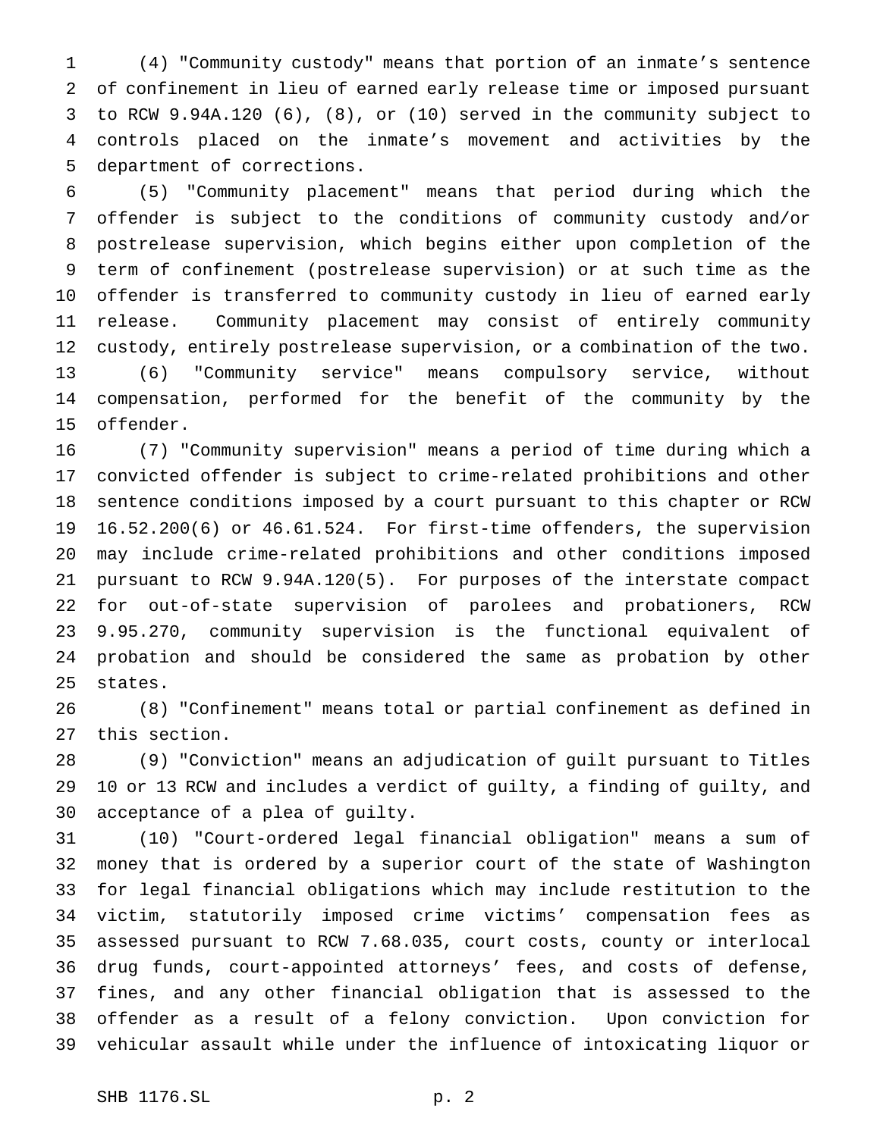(4) "Community custody" means that portion of an inmate's sentence of confinement in lieu of earned early release time or imposed pursuant to RCW 9.94A.120 (6), (8), or (10) served in the community subject to controls placed on the inmate's movement and activities by the department of corrections.

 (5) "Community placement" means that period during which the offender is subject to the conditions of community custody and/or postrelease supervision, which begins either upon completion of the term of confinement (postrelease supervision) or at such time as the offender is transferred to community custody in lieu of earned early release. Community placement may consist of entirely community custody, entirely postrelease supervision, or a combination of the two. (6) "Community service" means compulsory service, without compensation, performed for the benefit of the community by the offender.

 (7) "Community supervision" means a period of time during which a convicted offender is subject to crime-related prohibitions and other sentence conditions imposed by a court pursuant to this chapter or RCW 16.52.200(6) or 46.61.524. For first-time offenders, the supervision may include crime-related prohibitions and other conditions imposed pursuant to RCW 9.94A.120(5). For purposes of the interstate compact for out-of-state supervision of parolees and probationers, RCW 9.95.270, community supervision is the functional equivalent of probation and should be considered the same as probation by other states.

 (8) "Confinement" means total or partial confinement as defined in this section.

 (9) "Conviction" means an adjudication of guilt pursuant to Titles 10 or 13 RCW and includes a verdict of guilty, a finding of guilty, and acceptance of a plea of guilty.

 (10) "Court-ordered legal financial obligation" means a sum of money that is ordered by a superior court of the state of Washington for legal financial obligations which may include restitution to the victim, statutorily imposed crime victims' compensation fees as assessed pursuant to RCW 7.68.035, court costs, county or interlocal drug funds, court-appointed attorneys' fees, and costs of defense, fines, and any other financial obligation that is assessed to the offender as a result of a felony conviction. Upon conviction for vehicular assault while under the influence of intoxicating liquor or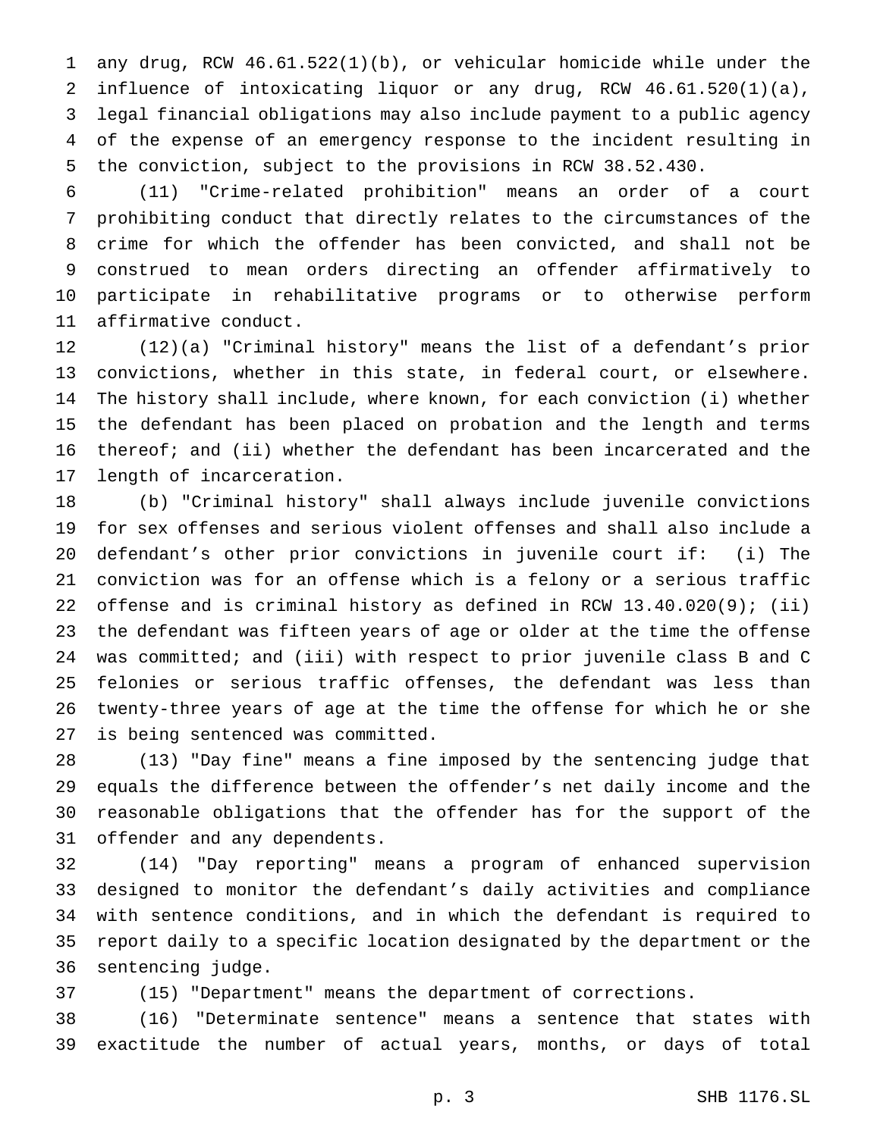any drug, RCW 46.61.522(1)(b), or vehicular homicide while under the influence of intoxicating liquor or any drug, RCW 46.61.520(1)(a), legal financial obligations may also include payment to a public agency of the expense of an emergency response to the incident resulting in the conviction, subject to the provisions in RCW 38.52.430.

 (11) "Crime-related prohibition" means an order of a court prohibiting conduct that directly relates to the circumstances of the crime for which the offender has been convicted, and shall not be construed to mean orders directing an offender affirmatively to participate in rehabilitative programs or to otherwise perform affirmative conduct.

 (12)(a) "Criminal history" means the list of a defendant's prior convictions, whether in this state, in federal court, or elsewhere. The history shall include, where known, for each conviction (i) whether the defendant has been placed on probation and the length and terms thereof; and (ii) whether the defendant has been incarcerated and the length of incarceration.

 (b) "Criminal history" shall always include juvenile convictions for sex offenses and serious violent offenses and shall also include a defendant's other prior convictions in juvenile court if: (i) The conviction was for an offense which is a felony or a serious traffic offense and is criminal history as defined in RCW 13.40.020(9); (ii) the defendant was fifteen years of age or older at the time the offense was committed; and (iii) with respect to prior juvenile class B and C felonies or serious traffic offenses, the defendant was less than twenty-three years of age at the time the offense for which he or she is being sentenced was committed.

 (13) "Day fine" means a fine imposed by the sentencing judge that equals the difference between the offender's net daily income and the reasonable obligations that the offender has for the support of the offender and any dependents.

 (14) "Day reporting" means a program of enhanced supervision designed to monitor the defendant's daily activities and compliance with sentence conditions, and in which the defendant is required to report daily to a specific location designated by the department or the sentencing judge.

(15) "Department" means the department of corrections.

 (16) "Determinate sentence" means a sentence that states with exactitude the number of actual years, months, or days of total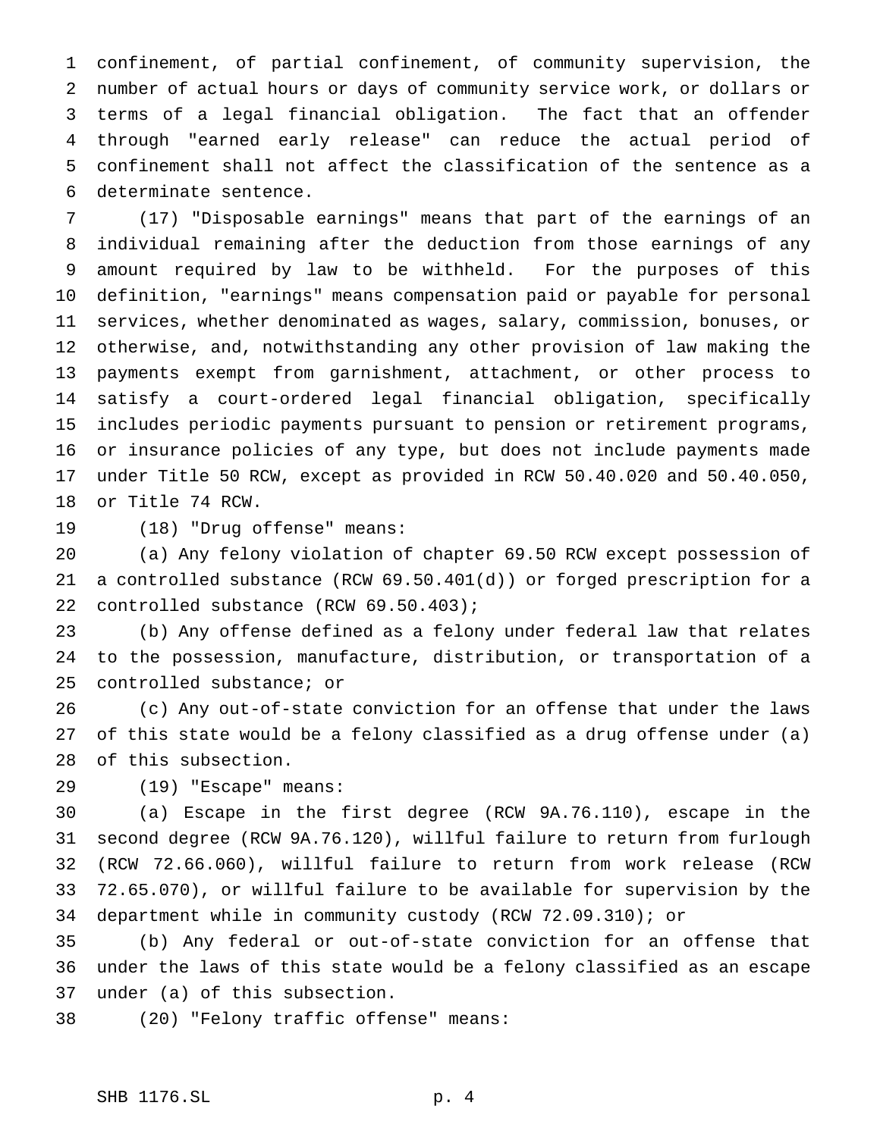confinement, of partial confinement, of community supervision, the number of actual hours or days of community service work, or dollars or terms of a legal financial obligation. The fact that an offender through "earned early release" can reduce the actual period of confinement shall not affect the classification of the sentence as a determinate sentence.

 (17) "Disposable earnings" means that part of the earnings of an individual remaining after the deduction from those earnings of any amount required by law to be withheld. For the purposes of this definition, "earnings" means compensation paid or payable for personal services, whether denominated as wages, salary, commission, bonuses, or otherwise, and, notwithstanding any other provision of law making the payments exempt from garnishment, attachment, or other process to satisfy a court-ordered legal financial obligation, specifically includes periodic payments pursuant to pension or retirement programs, or insurance policies of any type, but does not include payments made under Title 50 RCW, except as provided in RCW 50.40.020 and 50.40.050, or Title 74 RCW.

(18) "Drug offense" means:

 (a) Any felony violation of chapter 69.50 RCW except possession of a controlled substance (RCW 69.50.401(d)) or forged prescription for a controlled substance (RCW 69.50.403);

 (b) Any offense defined as a felony under federal law that relates to the possession, manufacture, distribution, or transportation of a controlled substance; or

 (c) Any out-of-state conviction for an offense that under the laws of this state would be a felony classified as a drug offense under (a) of this subsection.

(19) "Escape" means:

 (a) Escape in the first degree (RCW 9A.76.110), escape in the second degree (RCW 9A.76.120), willful failure to return from furlough (RCW 72.66.060), willful failure to return from work release (RCW 72.65.070), or willful failure to be available for supervision by the department while in community custody (RCW 72.09.310); or

 (b) Any federal or out-of-state conviction for an offense that under the laws of this state would be a felony classified as an escape under (a) of this subsection.

(20) "Felony traffic offense" means: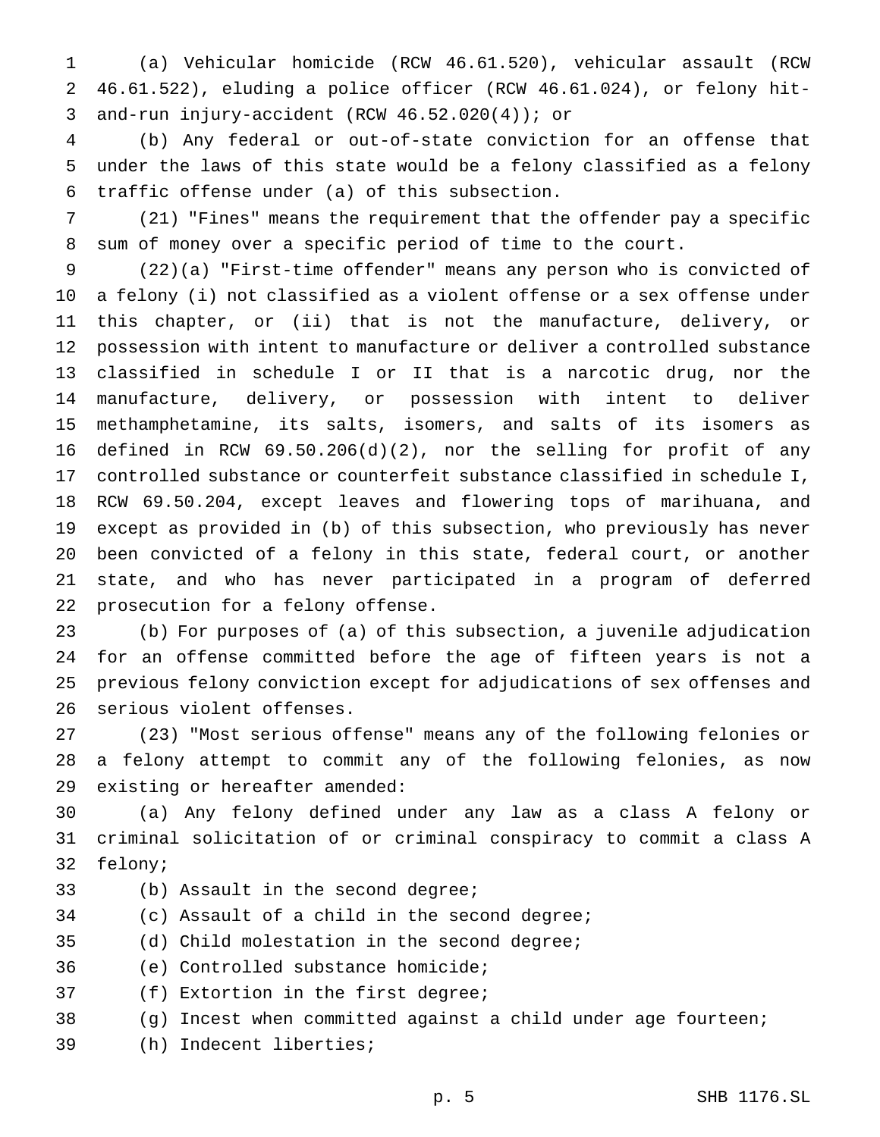(a) Vehicular homicide (RCW 46.61.520), vehicular assault (RCW 46.61.522), eluding a police officer (RCW 46.61.024), or felony hit-and-run injury-accident (RCW 46.52.020(4)); or

 (b) Any federal or out-of-state conviction for an offense that under the laws of this state would be a felony classified as a felony traffic offense under (a) of this subsection.

 (21) "Fines" means the requirement that the offender pay a specific sum of money over a specific period of time to the court.

 (22)(a) "First-time offender" means any person who is convicted of a felony (i) not classified as a violent offense or a sex offense under this chapter, or (ii) that is not the manufacture, delivery, or possession with intent to manufacture or deliver a controlled substance classified in schedule I or II that is a narcotic drug, nor the manufacture, delivery, or possession with intent to deliver methamphetamine, its salts, isomers, and salts of its isomers as defined in RCW 69.50.206(d)(2), nor the selling for profit of any controlled substance or counterfeit substance classified in schedule I, RCW 69.50.204, except leaves and flowering tops of marihuana, and except as provided in (b) of this subsection, who previously has never been convicted of a felony in this state, federal court, or another state, and who has never participated in a program of deferred prosecution for a felony offense.

 (b) For purposes of (a) of this subsection, a juvenile adjudication for an offense committed before the age of fifteen years is not a previous felony conviction except for adjudications of sex offenses and serious violent offenses.

 (23) "Most serious offense" means any of the following felonies or a felony attempt to commit any of the following felonies, as now existing or hereafter amended:

 (a) Any felony defined under any law as a class A felony or criminal solicitation of or criminal conspiracy to commit a class A felony;

- (b) Assault in the second degree;
- (c) Assault of a child in the second degree;

(d) Child molestation in the second degree;

(e) Controlled substance homicide;

(f) Extortion in the first degree;

- (g) Incest when committed against a child under age fourteen;
- (h) Indecent liberties;

p. 5 SHB 1176.SL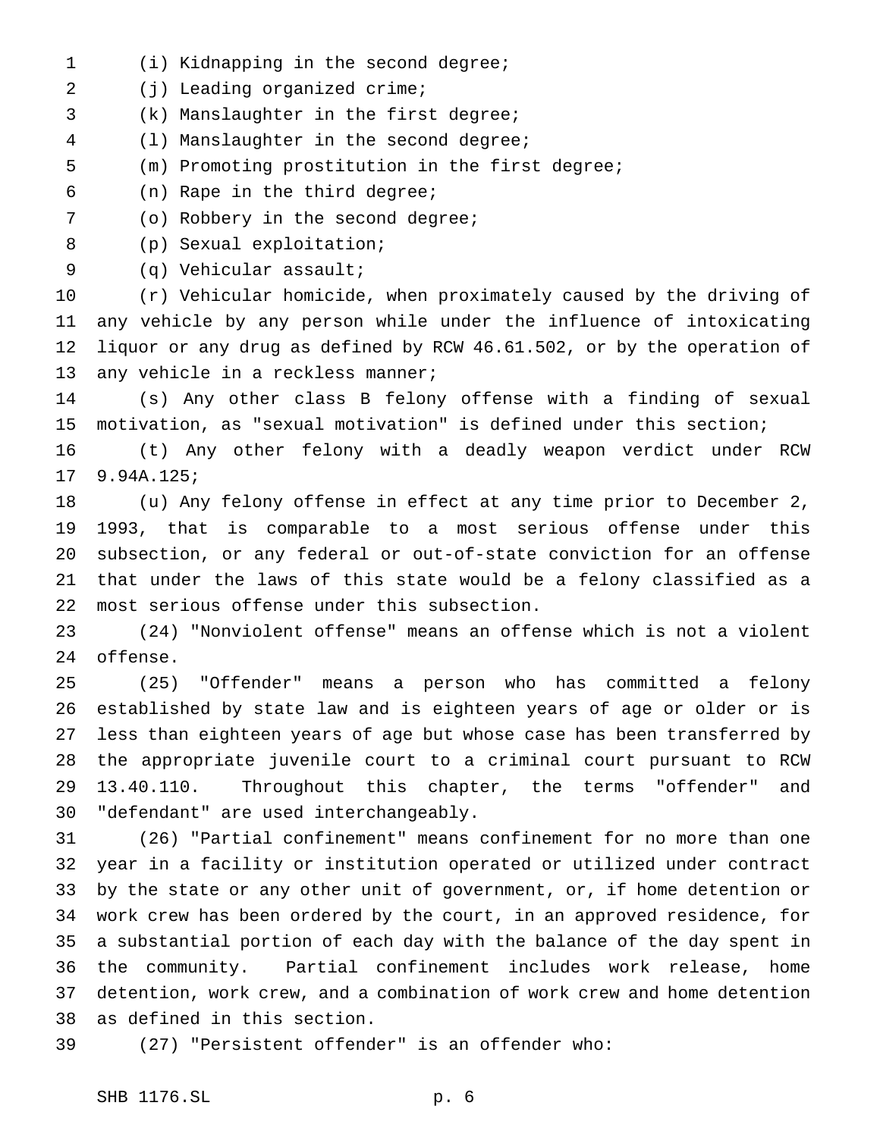- (i) Kidnapping in the second degree;
- 2 (j) Leading organized crime;
- (k) Manslaughter in the first degree;
- (l) Manslaughter in the second degree;
- (m) Promoting prostitution in the first degree;
- (n) Rape in the third degree;
- (o) Robbery in the second degree;
- (p) Sexual exploitation;
- 
- (q) Vehicular assault;

 (r) Vehicular homicide, when proximately caused by the driving of any vehicle by any person while under the influence of intoxicating liquor or any drug as defined by RCW 46.61.502, or by the operation of 13 any vehicle in a reckless manner;

 (s) Any other class B felony offense with a finding of sexual motivation, as "sexual motivation" is defined under this section;

 (t) Any other felony with a deadly weapon verdict under RCW 9.94A.125;

 (u) Any felony offense in effect at any time prior to December 2, 1993, that is comparable to a most serious offense under this subsection, or any federal or out-of-state conviction for an offense that under the laws of this state would be a felony classified as a most serious offense under this subsection.

 (24) "Nonviolent offense" means an offense which is not a violent offense.

 (25) "Offender" means a person who has committed a felony established by state law and is eighteen years of age or older or is less than eighteen years of age but whose case has been transferred by the appropriate juvenile court to a criminal court pursuant to RCW 13.40.110. Throughout this chapter, the terms "offender" and "defendant" are used interchangeably.

 (26) "Partial confinement" means confinement for no more than one year in a facility or institution operated or utilized under contract by the state or any other unit of government, or, if home detention or work crew has been ordered by the court, in an approved residence, for a substantial portion of each day with the balance of the day spent in the community. Partial confinement includes work release, home detention, work crew, and a combination of work crew and home detention as defined in this section.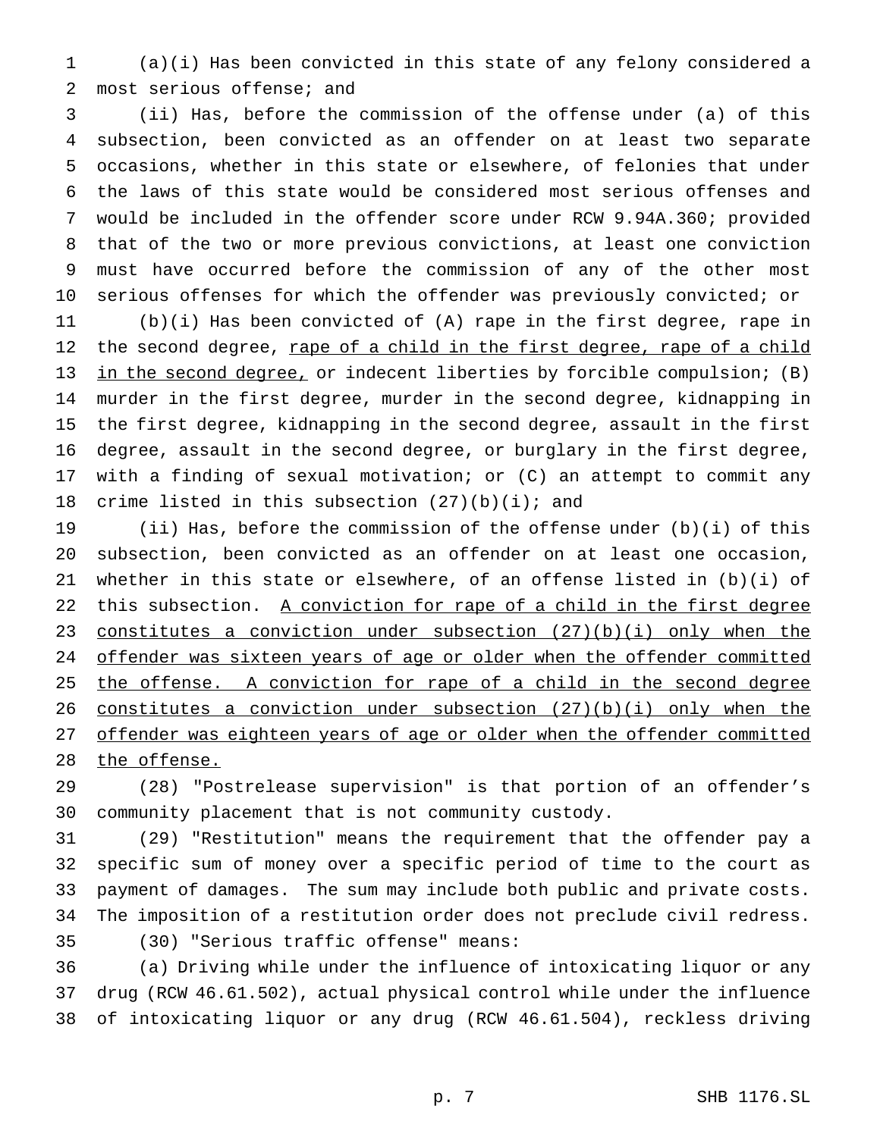(a)(i) Has been convicted in this state of any felony considered a most serious offense; and

 (ii) Has, before the commission of the offense under (a) of this subsection, been convicted as an offender on at least two separate occasions, whether in this state or elsewhere, of felonies that under the laws of this state would be considered most serious offenses and would be included in the offender score under RCW 9.94A.360; provided that of the two or more previous convictions, at least one conviction must have occurred before the commission of any of the other most serious offenses for which the offender was previously convicted; or

 (b)(i) Has been convicted of (A) rape in the first degree, rape in 12 the second degree, rape of a child in the first degree, rape of a child 13 in the second degree, or indecent liberties by forcible compulsion; (B) murder in the first degree, murder in the second degree, kidnapping in the first degree, kidnapping in the second degree, assault in the first degree, assault in the second degree, or burglary in the first degree, with a finding of sexual motivation; or (C) an attempt to commit any 18 crime listed in this subsection  $(27)(b)(i)$ ; and

 (ii) Has, before the commission of the offense under (b)(i) of this subsection, been convicted as an offender on at least one occasion, whether in this state or elsewhere, of an offense listed in (b)(i) of 22 this subsection. A conviction for rape of a child in the first degree constitutes a conviction under subsection (27)(b)(i) only when the 24 offender was sixteen years of age or older when the offender committed 25 the offense. A conviction for rape of a child in the second degree constitutes a conviction under subsection (27)(b)(i) only when the 27 offender was eighteen years of age or older when the offender committed 28 the offense.

 (28) "Postrelease supervision" is that portion of an offender's community placement that is not community custody.

 (29) "Restitution" means the requirement that the offender pay a specific sum of money over a specific period of time to the court as payment of damages. The sum may include both public and private costs. The imposition of a restitution order does not preclude civil redress.

- 
- (30) "Serious traffic offense" means:

 (a) Driving while under the influence of intoxicating liquor or any drug (RCW 46.61.502), actual physical control while under the influence of intoxicating liquor or any drug (RCW 46.61.504), reckless driving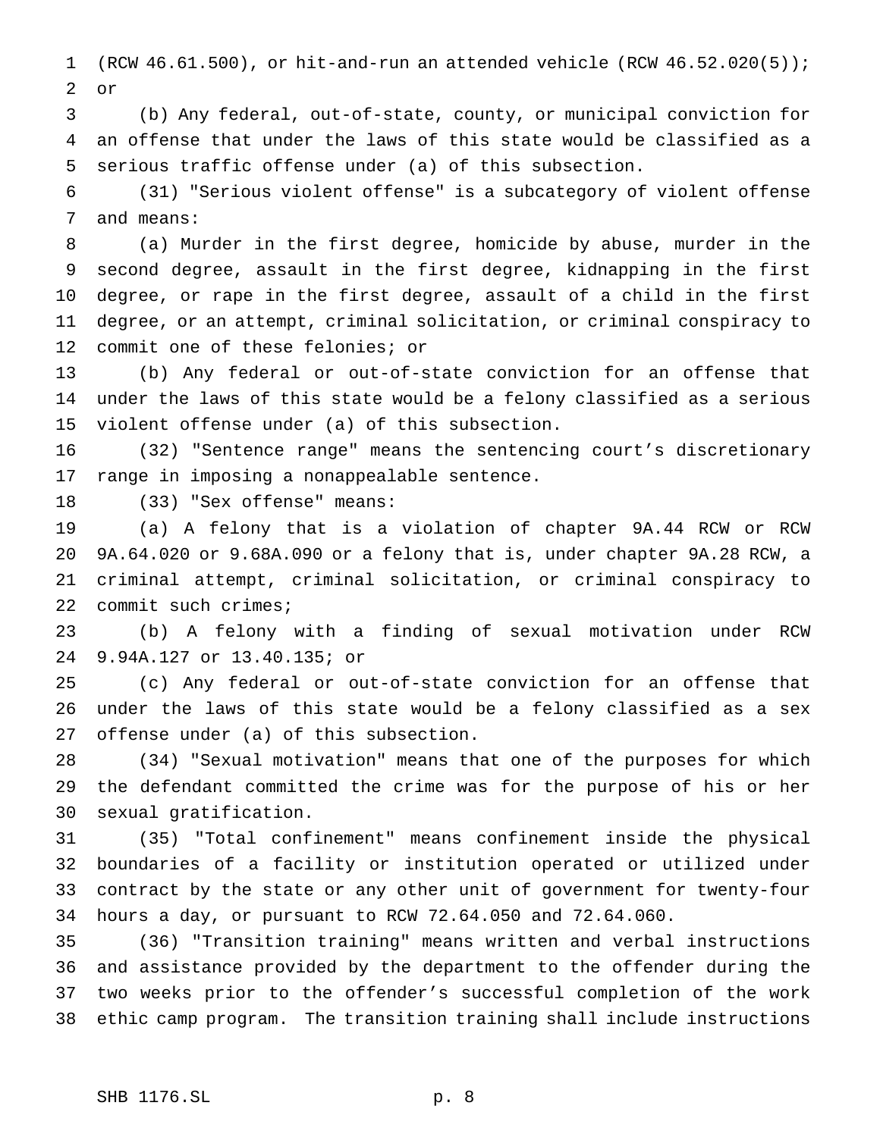(RCW 46.61.500), or hit-and-run an attended vehicle (RCW 46.52.020(5)); or

 (b) Any federal, out-of-state, county, or municipal conviction for an offense that under the laws of this state would be classified as a serious traffic offense under (a) of this subsection.

 (31) "Serious violent offense" is a subcategory of violent offense and means:

 (a) Murder in the first degree, homicide by abuse, murder in the second degree, assault in the first degree, kidnapping in the first degree, or rape in the first degree, assault of a child in the first degree, or an attempt, criminal solicitation, or criminal conspiracy to commit one of these felonies; or

 (b) Any federal or out-of-state conviction for an offense that under the laws of this state would be a felony classified as a serious violent offense under (a) of this subsection.

 (32) "Sentence range" means the sentencing court's discretionary range in imposing a nonappealable sentence.

(33) "Sex offense" means:

 (a) A felony that is a violation of chapter 9A.44 RCW or RCW 9A.64.020 or 9.68A.090 or a felony that is, under chapter 9A.28 RCW, a criminal attempt, criminal solicitation, or criminal conspiracy to commit such crimes;

 (b) A felony with a finding of sexual motivation under RCW 9.94A.127 or 13.40.135; or

 (c) Any federal or out-of-state conviction for an offense that under the laws of this state would be a felony classified as a sex offense under (a) of this subsection.

 (34) "Sexual motivation" means that one of the purposes for which the defendant committed the crime was for the purpose of his or her sexual gratification.

 (35) "Total confinement" means confinement inside the physical boundaries of a facility or institution operated or utilized under contract by the state or any other unit of government for twenty-four hours a day, or pursuant to RCW 72.64.050 and 72.64.060.

 (36) "Transition training" means written and verbal instructions and assistance provided by the department to the offender during the two weeks prior to the offender's successful completion of the work ethic camp program. The transition training shall include instructions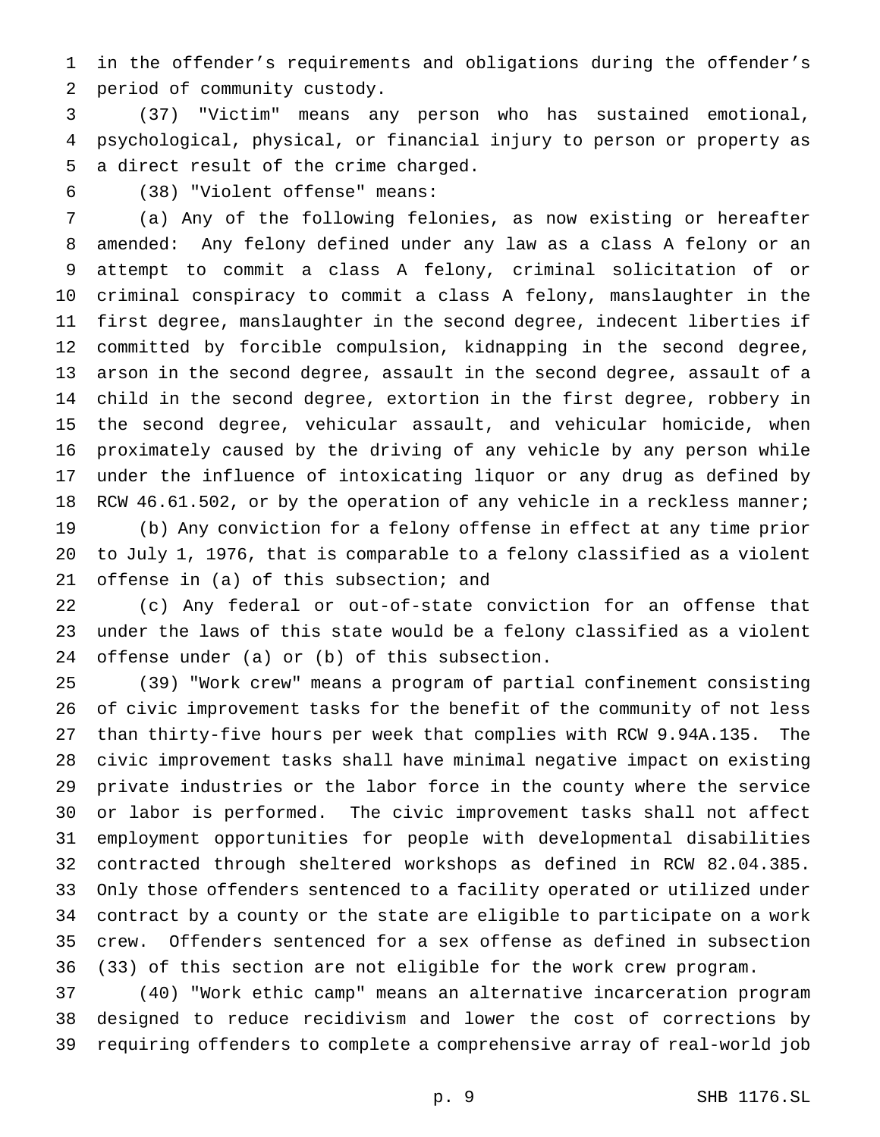in the offender's requirements and obligations during the offender's period of community custody.

 (37) "Victim" means any person who has sustained emotional, psychological, physical, or financial injury to person or property as a direct result of the crime charged.

(38) "Violent offense" means:

 (a) Any of the following felonies, as now existing or hereafter amended: Any felony defined under any law as a class A felony or an attempt to commit a class A felony, criminal solicitation of or criminal conspiracy to commit a class A felony, manslaughter in the first degree, manslaughter in the second degree, indecent liberties if committed by forcible compulsion, kidnapping in the second degree, arson in the second degree, assault in the second degree, assault of a child in the second degree, extortion in the first degree, robbery in the second degree, vehicular assault, and vehicular homicide, when proximately caused by the driving of any vehicle by any person while under the influence of intoxicating liquor or any drug as defined by 18 RCW 46.61.502, or by the operation of any vehicle in a reckless manner; (b) Any conviction for a felony offense in effect at any time prior to July 1, 1976, that is comparable to a felony classified as a violent offense in (a) of this subsection; and

 (c) Any federal or out-of-state conviction for an offense that under the laws of this state would be a felony classified as a violent offense under (a) or (b) of this subsection.

 (39) "Work crew" means a program of partial confinement consisting of civic improvement tasks for the benefit of the community of not less than thirty-five hours per week that complies with RCW 9.94A.135. The civic improvement tasks shall have minimal negative impact on existing private industries or the labor force in the county where the service or labor is performed. The civic improvement tasks shall not affect employment opportunities for people with developmental disabilities contracted through sheltered workshops as defined in RCW 82.04.385. Only those offenders sentenced to a facility operated or utilized under contract by a county or the state are eligible to participate on a work crew. Offenders sentenced for a sex offense as defined in subsection (33) of this section are not eligible for the work crew program.

 (40) "Work ethic camp" means an alternative incarceration program designed to reduce recidivism and lower the cost of corrections by requiring offenders to complete a comprehensive array of real-world job